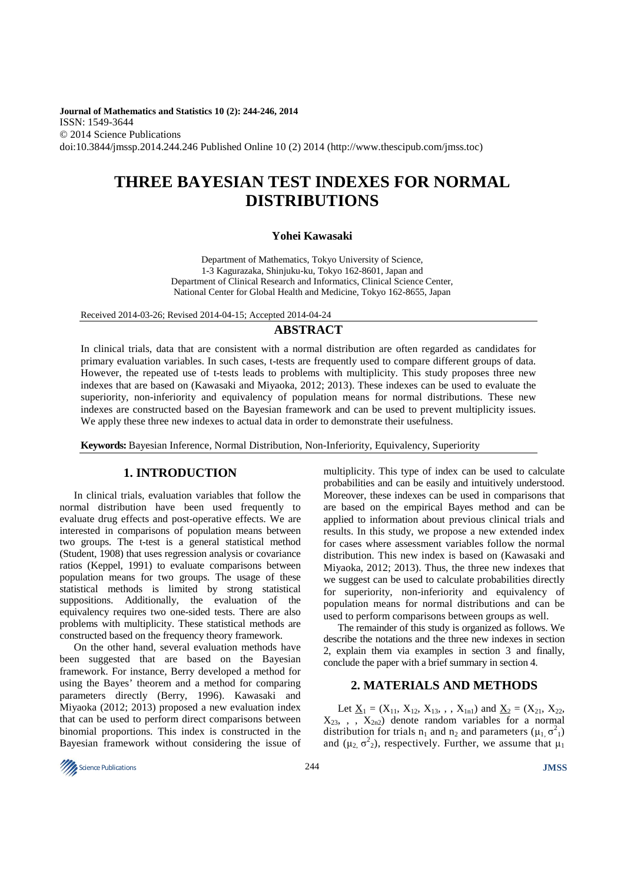**Journal of Mathematics and Statistics 10 (2): 244-246, 2014**  ISSN: 1549-3644 © 2014 Science Publications doi:10.3844/jmssp.2014.244.246 Published Online 10 (2) 2014 (http://www.thescipub.com/jmss.toc)

# **THREE BAYESIAN TEST INDEXES FOR NORMAL DISTRIBUTIONS**

### **Yohei Kawasaki**

Department of Mathematics, Tokyo University of Science, 1-3 Kagurazaka, Shinjuku-ku, Tokyo 162-8601, Japan and Department of Clinical Research and Informatics, Clinical Science Center, National Center for Global Health and Medicine, Tokyo 162-8655, Japan

Received 2014-03-26; Revised 2014-04-15; Accepted 2014-04-24

# **ABSTRACT**

In clinical trials, data that are consistent with a normal distribution are often regarded as candidates for primary evaluation variables. In such cases, t-tests are frequently used to compare different groups of data. However, the repeated use of t-tests leads to problems with multiplicity. This study proposes three new indexes that are based on (Kawasaki and Miyaoka, 2012; 2013). These indexes can be used to evaluate the superiority, non-inferiority and equivalency of population means for normal distributions. These new indexes are constructed based on the Bayesian framework and can be used to prevent multiplicity issues. We apply these three new indexes to actual data in order to demonstrate their usefulness.

**Keywords:** Bayesian Inference, Normal Distribution, Non-Inferiority, Equivalency, Superiority

# **1. INTRODUCTION**

In clinical trials, evaluation variables that follow the normal distribution have been used frequently to evaluate drug effects and post-operative effects. We are interested in comparisons of population means between two groups. The t-test is a general statistical method (Student, 1908) that uses regression analysis or covariance ratios (Keppel, 1991) to evaluate comparisons between population means for two groups. The usage of these statistical methods is limited by strong statistical suppositions. Additionally, the evaluation of the equivalency requires two one-sided tests. There are also problems with multiplicity. These statistical methods are constructed based on the frequency theory framework.

On the other hand, several evaluation methods have been suggested that are based on the Bayesian framework. For instance, Berry developed a method for using the Bayes' theorem and a method for comparing parameters directly (Berry, 1996). Kawasaki and Miyaoka (2012; 2013) proposed a new evaluation index that can be used to perform direct comparisons between binomial proportions. This index is constructed in the Bayesian framework without considering the issue of multiplicity. This type of index can be used to calculate probabilities and can be easily and intuitively understood. Moreover, these indexes can be used in comparisons that are based on the empirical Bayes method and can be applied to information about previous clinical trials and results. In this study, we propose a new extended index for cases where assessment variables follow the normal distribution. This new index is based on (Kawasaki and Miyaoka, 2012; 2013). Thus, the three new indexes that we suggest can be used to calculate probabilities directly for superiority, non-inferiority and equivalency of population means for normal distributions and can be used to perform comparisons between groups as well.

The remainder of this study is organized as follows. We describe the notations and the three new indexes in section 2, explain them via examples in section 3 and finally, conclude the paper with a brief summary in section 4.

# **2. MATERIALS AND METHODS**

Let  $\underline{X}_1 = (X_{11}, X_{12}, X_{13}, , , X_{1n1})$  and  $\underline{X}_2 = (X_{21}, X_{22},$  $X_{23}$ , , ,  $X_{2n2}$ ) denote random variables for a normal distribution for trials  $n_1$  and  $n_2$  and parameters  $(\mu_1, \sigma^2)$ and  $(\mu_2, \sigma^2)$ , respectively. Further, we assume that  $\mu_1$ 

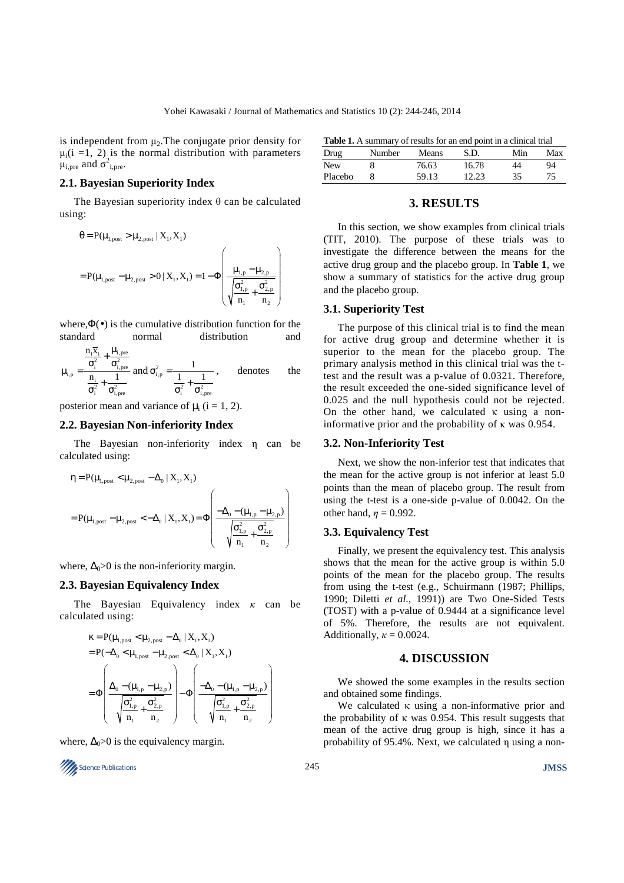is independent from  $\mu_2$ . The conjugate prior density for  $\mu_i$ (i =1, 2) is the normal distribution with parameters  $\mu_{i,pre}$  and  $\sigma_{i,pre}^2$ .

# **2.1. Bayesian Superiority Index**

The Bayesian superiority index  $\theta$  can be calculated using:

$$
\theta = P(\mu_{1,post} > \mu_{2,post} | X_1, X_1)
$$
  
=  $P(\mu_{1,post} - \mu_{2,post} > 0 | X_1, X_1) = 1 - \Phi\left(\frac{\mu_{1,p} - \mu_{2,p}}{\sqrt{\frac{\sigma_{1,p}^2}{n_1} + \frac{\sigma_{2,p}^2}{n_2}}}\right)$ 

where, $\Phi(\bullet)$  is the cumulative distribution function for the standard normal distribution and

$$
\mu_{i,p} = \frac{\frac{n_i \overline{x}_i}{\sigma_i^2} + \frac{\mu_{i,pre}}{\sigma_{i,pre}^2}}{\frac{n_i}{\sigma_i^2} + \frac{1}{\sigma_{i,pre}^2}} \text{ and } \sigma_{i,p}^2 = \frac{1}{\frac{1}{\sigma_i^2} + \frac{1}{\sigma_{i,pre}^2}} \,, \qquad \text{denotes} \qquad \text{the}
$$

posterior mean and variance of  $\mu_i$  (i = 1, 2).

#### **2.2. Bayesian Non-inferiority Index**

The Bayesian non-inferiority index η can be calculated using:

$$
\begin{aligned} &\eta = P(\mu_{1, \text{post}} < \mu_{2, \text{post}} - \Delta_0 \mid X_1, X_1) \\ &= P(\mu_{1, \text{post}} - \mu_{2, \text{post}} < -\Delta_0 \mid X_1, X_1) = \Phi\left(\frac{-\Delta_0 - (\mu_{1, p} - \mu_{2, p})}{\sqrt{\frac{\sigma_{1, p}^2}{n_1} + \frac{\sigma_{2, p}^2}{n_2}}}\right) \end{aligned}
$$

where,  $\Delta_0$ >0 is the non-inferiority margin.

#### **2.3. Bayesian Equivalency Index**

The Bayesian Equivalency index *κ* can be calculated using:

$$
\begin{aligned} &\kappa = P(\mu_{1,\text{post}} < \mu_{2,\text{post}} - \Delta_0 \mid X_1, X_1) \\ &= P(-\Delta_0 < \mu_{1,\text{post}} - \mu_{2,\text{post}} < \Delta_0 \mid X_1, X_1) \\ &= \Phi\left(\frac{\Delta_0 - (\mu_{1,p} - \mu_{2,p})}{\sqrt{\frac{\sigma_{1,p}^2}{n_1} + \frac{\sigma_{2,p}^2}{n_2}}} \right) - \Phi\left(\frac{-\Delta_0 - (\mu_{1,p} - \mu_{2,p})}{\sqrt{\frac{\sigma_{1,p}^2}{n_1} + \frac{\sigma_{2,p}^2}{n_2}}}\right) \end{aligned}
$$

where,  $\Delta_0 > 0$  is the equivalency margin.



|  | <b>Table 1.</b> A summary of results for an end point in a clinical trial |
|--|---------------------------------------------------------------------------|
|--|---------------------------------------------------------------------------|

| Drug    | Number | Means | S.D.  | Min | Max |  |  |
|---------|--------|-------|-------|-----|-----|--|--|
| New     |        | 76.63 | 16.78 | 44  | 94  |  |  |
| Placebo |        | 59.13 | 12.23 | 35  | 75  |  |  |

# **3. RESULTS**

In this section, we show examples from clinical trials (TIT, 2010). The purpose of these trials was to investigate the difference between the means for the active drug group and the placebo group. In **Table 1**, we show a summary of statistics for the active drug group and the placebo group.

### **3.1. Superiority Test**

The purpose of this clinical trial is to find the mean for active drug group and determine whether it is superior to the mean for the placebo group. The primary analysis method in this clinical trial was the ttest and the result was a p-value of 0.0321. Therefore, the result exceeded the one-sided significance level of 0.025 and the null hypothesis could not be rejected. On the other hand, we calculated  $\kappa$  using a noninformative prior and the probability of κ was 0.954.

#### **3.2. Non-Inferiority Test**

Next, we show the non-inferior test that indicates that the mean for the active group is not inferior at least 5.0 points than the mean of placebo group. The result from using the t-test is a one-side p-value of 0.0042. On the other hand,  $\eta = 0.992$ .

### **3.3. Equivalency Test**

Finally, we present the equivalency test. This analysis shows that the mean for the active group is within 5.0 points of the mean for the placebo group. The results from using the t-test (e.g., Schuirmann (1987; Phillips, 1990; Diletti *et al*., 1991)) are Two One-Sided Tests (TOST) with a p-value of 0.9444 at a significance level of 5%. Therefore, the results are not equivalent. Additionally,  $\kappa = 0.0024$ .

# **4. DISCUSSION**

We showed the some examples in the results section and obtained some findings.

We calculated  $\kappa$  using a non-informative prior and the probability of κ was  $0.954$ . This result suggests that mean of the active drug group is high, since it has a probability of 95.4%. Next, we calculated η using a non